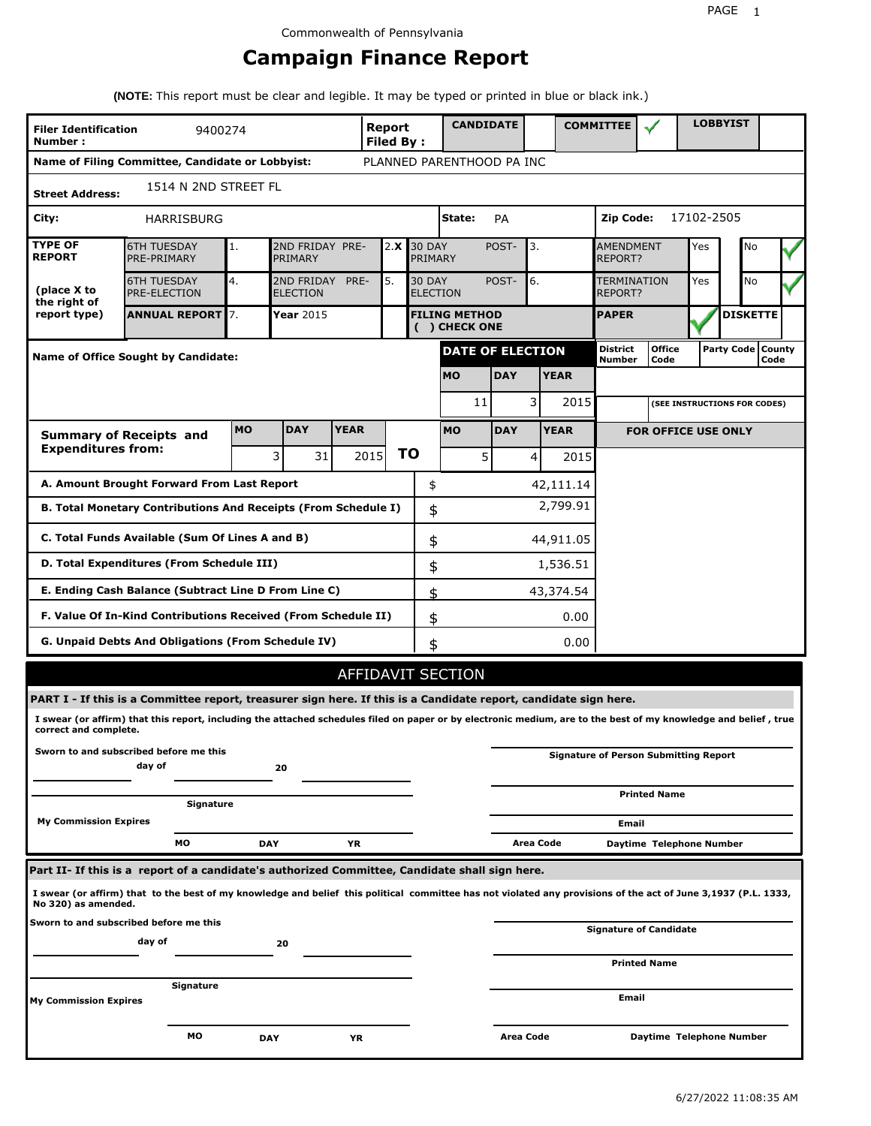# **Campaign Finance Report**

**(NOTE:** This report must be clear and legible. It may be typed or printed in blue or black ink.)

| <b>Filer Identification</b><br>Number: | 9400274                                                                                                                                                         |                                         |                               |                                  | <b>Report</b><br><b>Filed By:</b> |            | <b>CANDIDATE</b>                        |                              |                               |             | <b>COMMITTEE</b>                   |                                              |            | <b>LOBBYIST</b>     |      |  |
|----------------------------------------|-----------------------------------------------------------------------------------------------------------------------------------------------------------------|-----------------------------------------|-------------------------------|----------------------------------|-----------------------------------|------------|-----------------------------------------|------------------------------|-------------------------------|-------------|------------------------------------|----------------------------------------------|------------|---------------------|------|--|
|                                        | Name of Filing Committee, Candidate or Lobbyist:                                                                                                                |                                         |                               |                                  |                                   |            | PLANNED PARENTHOOD PA INC               |                              |                               |             |                                    |                                              |            |                     |      |  |
| <b>Street Address:</b>                 | 1514 N 2ND STREET FL                                                                                                                                            |                                         |                               |                                  |                                   |            |                                         |                              |                               |             |                                    |                                              |            |                     |      |  |
| City:                                  | HARRISBURG                                                                                                                                                      |                                         |                               |                                  |                                   |            | State:<br>Zip Code:<br>PA               |                              |                               |             |                                    |                                              | 17102-2505 |                     |      |  |
| <b>TYPE OF</b><br><b>REPORT</b>        | <b>6TH TUESDAY</b><br>PRE-PRIMARY                                                                                                                               | 2ND FRIDAY PRE-<br>2.X<br>1.<br>PRIMARY |                               |                                  |                                   |            | <b>30 DAY</b><br>POST-<br>3.<br>PRIMARY |                              |                               |             | <b>AMENDMENT</b><br><b>REPORT?</b> | Yes                                          | No         |                     |      |  |
| (place X to<br>the right of            | <b>6TH TUESDAY</b><br><b>PRE-ELECTION</b>                                                                                                                       | 4.                                      | 2ND FRIDAY<br><b>ELECTION</b> | <b>30 DAY</b><br><b>ELECTION</b> |                                   | POST-      | 6.                                      |                              | <b>TERMINATION</b><br>REPORT? |             | Yes                                | No                                           |            |                     |      |  |
| report type)                           | <b>ANNUAL REPORT</b> 7.                                                                                                                                         |                                         | Year 2015                     |                                  |                                   |            | <b>FILING METHOD</b><br>( ) CHECK ONE   |                              |                               |             | <b>PAPER</b>                       |                                              |            | <b>DISKETTE</b>     |      |  |
|                                        | Name of Office Sought by Candidate:                                                                                                                             |                                         |                               |                                  |                                   |            | <b>DATE OF ELECTION</b>                 |                              |                               |             | <b>District</b><br>Number          | <b>Office</b><br>Code                        |            | Party Code   County | Code |  |
|                                        |                                                                                                                                                                 |                                         |                               |                                  |                                   |            | <b>MO</b>                               | <b>DAY</b>                   |                               | <b>YEAR</b> |                                    |                                              |            |                     |      |  |
|                                        |                                                                                                                                                                 |                                         | 11                            |                                  | 3                                 | 2015       |                                         | (SEE INSTRUCTIONS FOR CODES) |                               |             |                                    |                                              |            |                     |      |  |
|                                        | <b>Summary of Receipts and</b>                                                                                                                                  | <b>MO</b>                               | <b>DAY</b>                    | <b>YEAR</b>                      |                                   |            | <b>MO</b>                               | <b>DAY</b>                   |                               | <b>YEAR</b> |                                    | <b>FOR OFFICE USE ONLY</b>                   |            |                     |      |  |
| <b>Expenditures from:</b>              |                                                                                                                                                                 |                                         | 3<br>31                       |                                  | 2015                              | ΤO         | 5                                       |                              | 4                             | 2015        |                                    |                                              |            |                     |      |  |
|                                        | A. Amount Brought Forward From Last Report                                                                                                                      |                                         |                               |                                  |                                   | \$         |                                         |                              |                               | 42,111.14   |                                    |                                              |            |                     |      |  |
|                                        | B. Total Monetary Contributions And Receipts (From Schedule I)                                                                                                  |                                         |                               |                                  |                                   | \$         |                                         |                              |                               | 2,799.91    |                                    |                                              |            |                     |      |  |
|                                        | C. Total Funds Available (Sum Of Lines A and B)                                                                                                                 |                                         |                               |                                  |                                   | \$         |                                         |                              |                               | 44,911.05   |                                    |                                              |            |                     |      |  |
|                                        | D. Total Expenditures (From Schedule III)                                                                                                                       |                                         |                               |                                  |                                   | \$         |                                         |                              |                               | 1,536.51    |                                    |                                              |            |                     |      |  |
|                                        | E. Ending Cash Balance (Subtract Line D From Line C)                                                                                                            |                                         |                               |                                  |                                   | \$         |                                         |                              |                               | 43,374.54   |                                    |                                              |            |                     |      |  |
|                                        | F. Value Of In-Kind Contributions Received (From Schedule II)                                                                                                   |                                         |                               |                                  |                                   | \$         |                                         |                              |                               | 0.00        |                                    |                                              |            |                     |      |  |
|                                        | G. Unpaid Debts And Obligations (From Schedule IV)                                                                                                              |                                         |                               |                                  |                                   | 0.00<br>\$ |                                         |                              |                               |             |                                    |                                              |            |                     |      |  |
|                                        |                                                                                                                                                                 |                                         |                               |                                  |                                   |            | AFFIDAVIT SECTION                       |                              |                               |             |                                    |                                              |            |                     |      |  |
|                                        | PART I - If this is a Committee report, treasurer sign here. If this is a Candidate report, candidate sign here.                                                |                                         |                               |                                  |                                   |            |                                         |                              |                               |             |                                    |                                              |            |                     |      |  |
| correct and complete.                  | I swear (or affirm) that this report, including the attached schedules filed on paper or by electronic medium, are to the best of my knowledge and belief, true |                                         |                               |                                  |                                   |            |                                         |                              |                               |             |                                    |                                              |            |                     |      |  |
|                                        | Sworn to and subscribed before me this<br>day of                                                                                                                |                                         | 20                            |                                  |                                   |            |                                         |                              |                               |             |                                    | <b>Signature of Person Submitting Report</b> |            |                     |      |  |
|                                        | Signature                                                                                                                                                       |                                         |                               |                                  |                                   |            |                                         |                              |                               |             |                                    | <b>Printed Name</b>                          |            |                     |      |  |
| <b>My Commission Expires</b>           |                                                                                                                                                                 |                                         |                               |                                  |                                   |            |                                         |                              |                               |             | Email                              |                                              |            |                     |      |  |
|                                        | МO                                                                                                                                                              |                                         | <b>DAY</b>                    | YR                               |                                   |            |                                         |                              | Area Code                     |             |                                    | Daytime Telephone Number                     |            |                     |      |  |
|                                        | Part II- If this is a report of a candidate's authorized Committee, Candidate shall sign here.                                                                  |                                         |                               |                                  |                                   |            |                                         |                              |                               |             |                                    |                                              |            |                     |      |  |
| No 320) as amended.                    | I swear (or affirm) that to the best of my knowledge and belief this political committee has not violated any provisions of the act of June 3,1937 (P.L. 1333,  |                                         |                               |                                  |                                   |            |                                         |                              |                               |             |                                    |                                              |            |                     |      |  |
|                                        | Sworn to and subscribed before me this<br>day of                                                                                                                |                                         | 20                            |                                  |                                   |            |                                         |                              |                               |             |                                    | <b>Signature of Candidate</b>                |            |                     |      |  |
|                                        |                                                                                                                                                                 |                                         |                               |                                  |                                   |            |                                         |                              |                               |             |                                    | <b>Printed Name</b>                          |            |                     |      |  |
| My Commission Expires                  | Signature                                                                                                                                                       |                                         |                               |                                  |                                   |            |                                         |                              |                               |             | Email                              |                                              |            |                     |      |  |
|                                        |                                                                                                                                                                 |                                         |                               |                                  |                                   |            |                                         |                              |                               |             |                                    |                                              |            |                     |      |  |
|                                        | МO                                                                                                                                                              |                                         | DAY                           | ΥR                               |                                   |            |                                         | Area Code                    |                               |             |                                    | Daytime Telephone Number                     |            |                     |      |  |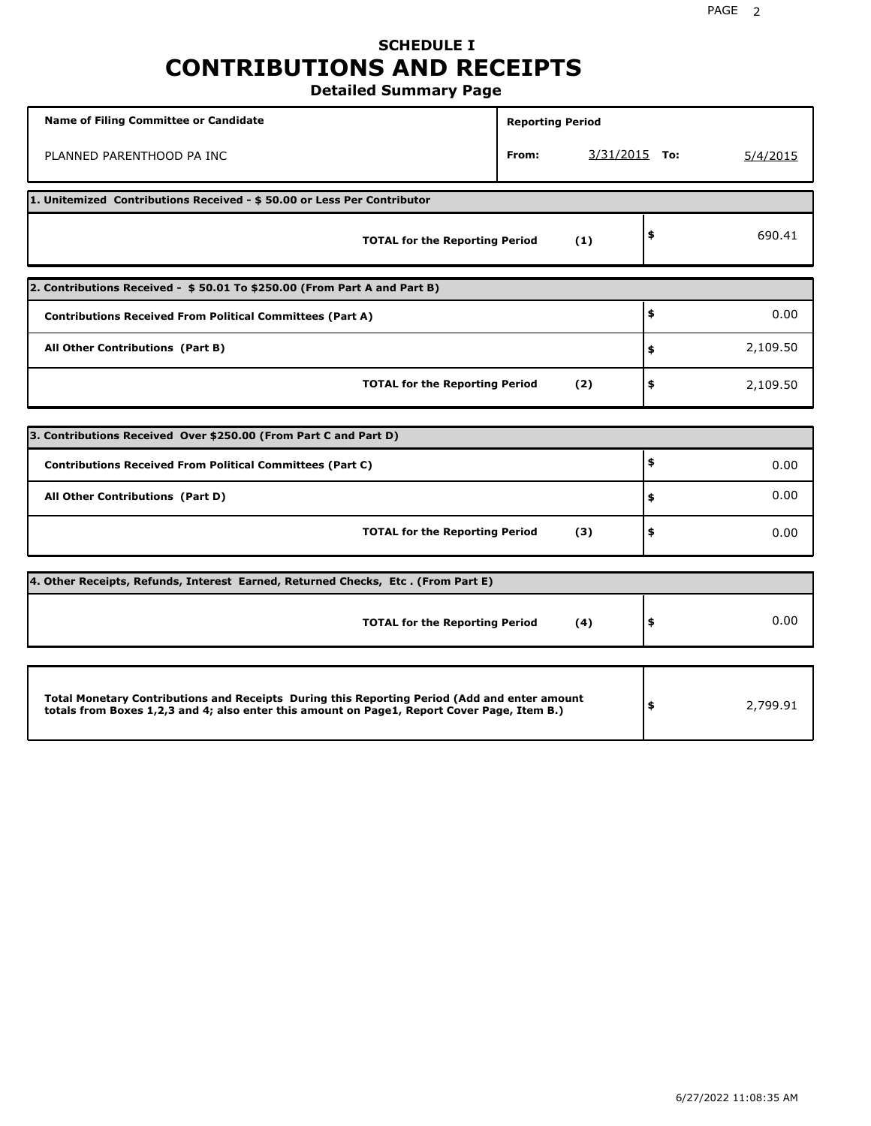## **SCHEDULE I CONTRIBUTIONS AND RECEIPTS Detailed Summary Page**

**Name of Filing Committee or Candidate Reporting Period Reporting Period** PLANNED PARENTHOOD PA INC **From:** 3/31/2015 **To:** 5/4/2015 **1. Unitemized Contributions Received - \$ 50.00 or Less Per Contributor TOTAL for the Reporting Period (1) \$** 690.41 **2. Contributions Received - \$ 50.01 To \$250.00 (From Part A and Part B) TOTAL for the Reporting Period (2) Contributions Received From Political Committees (Part A) All Other Contributions (Part B) \$ \$ \$** 0.00 2,109.50 2,109.50 **3. Contributions Received Over \$250.00 (From Part C and Part D) TOTAL for the Reporting Period (3) Contributions Received From Political Committees (Part C) All Other Contributions (Part D) \$ \$ \$** 0.00 0.00 0.00 **4. Other Receipts, Refunds, Interest Earned, Returned Checks, Etc . (From Part E) TOTAL for the Reporting Period (4) \$** 0.00 **Total Monetary Contributions and Receipts During this Reporting Period (Add and enter amount totals from Boxes 1,2,3 and 4; also enter this amount on Page1, Report Cover Page, Item B.) \$** 2,799.91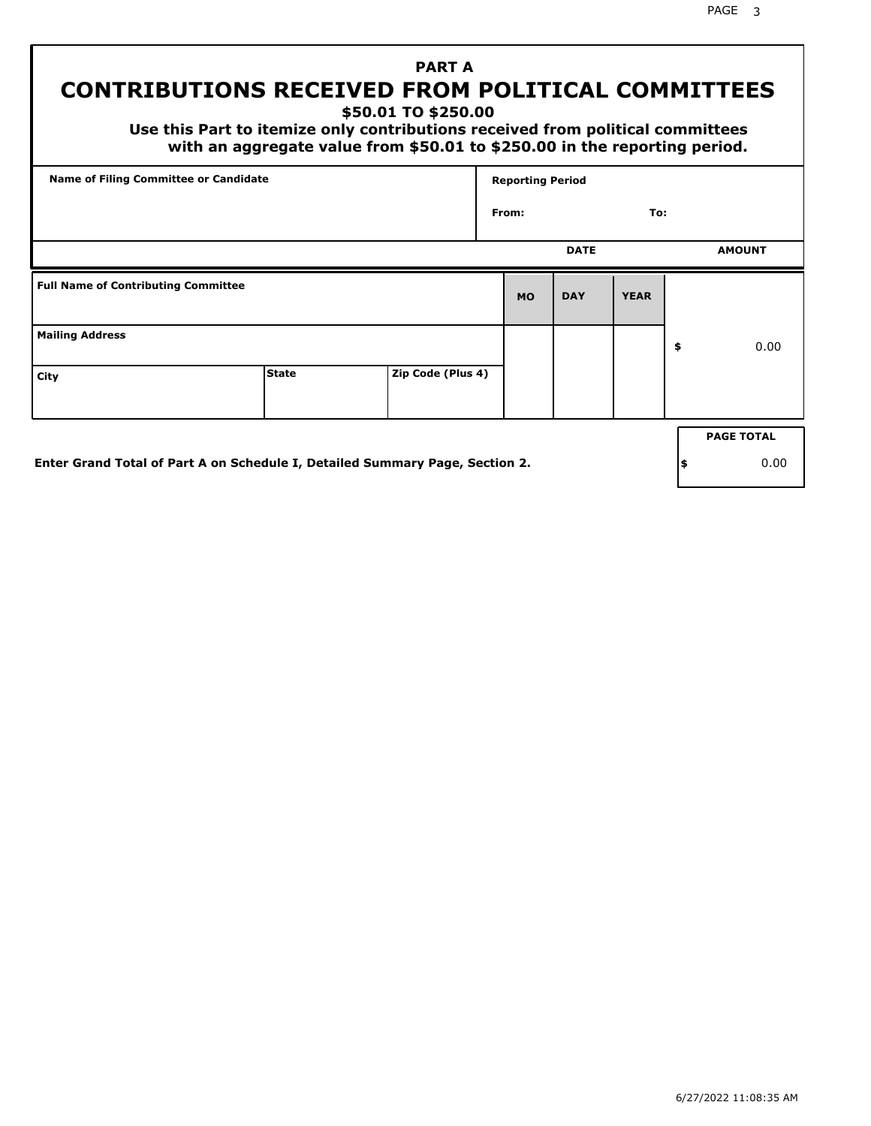# **PART A CONTRIBUTIONS RECEIVED FROM POLITICAL COMMITTEES**

**\$50.01 TO \$250.00**

 **Use this Part to itemize only contributions received from political committees with an aggregate value from \$50.01 to \$250.00 in the reporting period.**

| Name of Filing Committee or Candidate      |              |                   |           | <b>Reporting Period</b> |             |    |                   |  |  |
|--------------------------------------------|--------------|-------------------|-----------|-------------------------|-------------|----|-------------------|--|--|
|                                            |              |                   | From:     |                         | To:         |    |                   |  |  |
|                                            |              |                   |           | <b>DATE</b>             |             |    | <b>AMOUNT</b>     |  |  |
| <b>Full Name of Contributing Committee</b> |              |                   | <b>MO</b> | <b>DAY</b>              | <b>YEAR</b> |    |                   |  |  |
| <b>Mailing Address</b>                     |              |                   |           |                         |             | \$ | 0.00              |  |  |
| City                                       | <b>State</b> | Zip Code (Plus 4) |           |                         |             |    |                   |  |  |
|                                            |              |                   |           |                         |             |    | <b>PAGE TOTAL</b> |  |  |
|                                            |              |                   |           |                         |             |    |                   |  |  |

**Enter Grand Total of Part A on Schedule I, Detailed Summary Page, Section 2.**

**\$** 0.00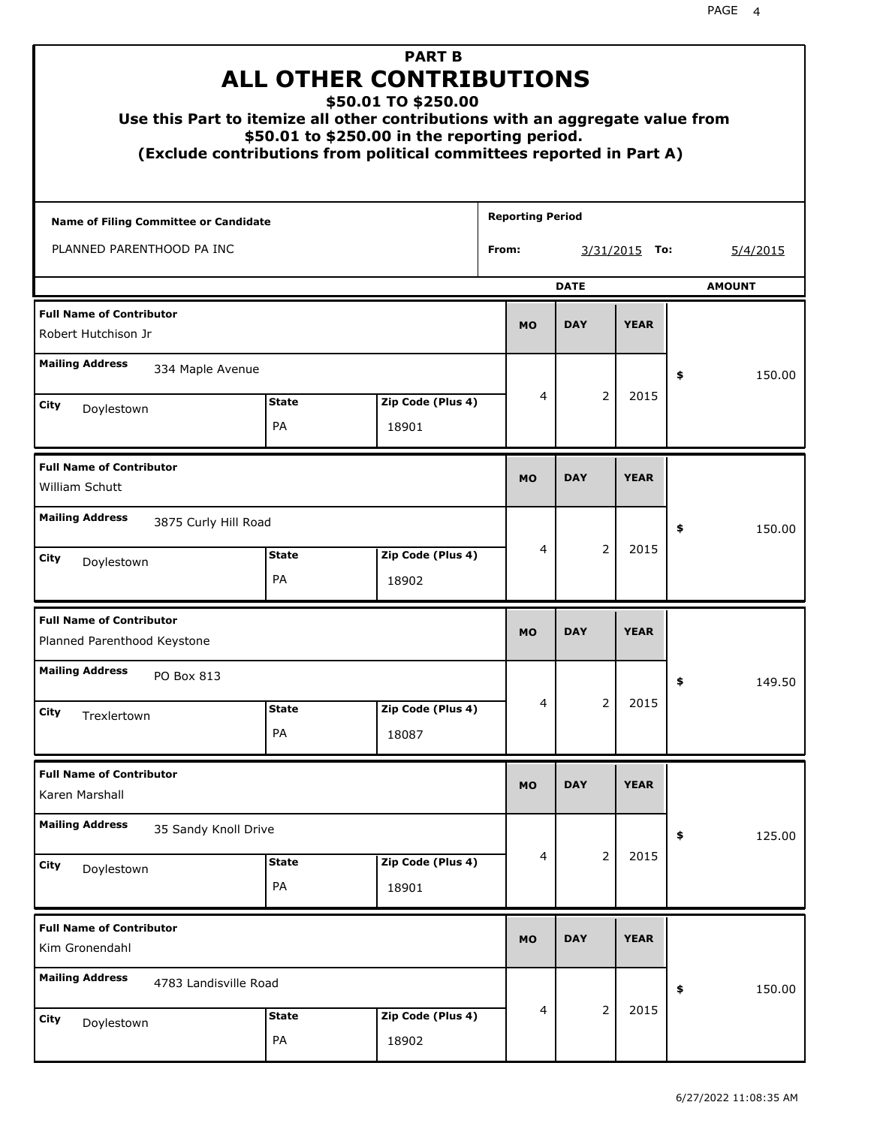| Use this Part to itemize all other contributions with an aggregate value from |                       | <b>PART B</b><br><b>ALL OTHER CONTRIBUTIONS</b><br>\$50.01 TO \$250.00<br>\$50.01 to \$250.00 in the reporting period.<br>(Exclude contributions from political committees reported in Part A) |                         |                |             |               |
|-------------------------------------------------------------------------------|-----------------------|------------------------------------------------------------------------------------------------------------------------------------------------------------------------------------------------|-------------------------|----------------|-------------|---------------|
| <b>Name of Filing Committee or Candidate</b>                                  |                       |                                                                                                                                                                                                | <b>Reporting Period</b> |                |             |               |
| PLANNED PARENTHOOD PA INC                                                     |                       | From:                                                                                                                                                                                          |                         | 3/31/2015 To:  | 5/4/2015    |               |
|                                                                               |                       |                                                                                                                                                                                                |                         | <b>DATE</b>    |             | <b>AMOUNT</b> |
| <b>Full Name of Contributor</b><br>Robert Hutchison Jr                        |                       |                                                                                                                                                                                                | <b>MO</b>               | <b>DAY</b>     | <b>YEAR</b> |               |
| <b>Mailing Address</b><br>334 Maple Avenue                                    |                       |                                                                                                                                                                                                |                         |                |             | \$<br>150.00  |
| City                                                                          | <b>State</b>          | Zip Code (Plus 4)                                                                                                                                                                              | 4                       | $\overline{2}$ | 2015        |               |
| Doylestown                                                                    | PA                    | 18901                                                                                                                                                                                          |                         |                |             |               |
| <b>Full Name of Contributor</b><br>William Schutt                             |                       |                                                                                                                                                                                                |                         |                |             |               |
| <b>Mailing Address</b><br>3875 Curly Hill Road                                |                       |                                                                                                                                                                                                |                         |                |             | \$<br>150.00  |
| City<br>Doylestown                                                            | <b>State</b><br>PA    | Zip Code (Plus 4)<br>18902                                                                                                                                                                     | 4                       | 2              | 2015        |               |
| <b>Full Name of Contributor</b><br>Planned Parenthood Keystone                |                       |                                                                                                                                                                                                | <b>MO</b>               | <b>DAY</b>     | <b>YEAR</b> |               |
| <b>Mailing Address</b><br>PO Box 813                                          |                       |                                                                                                                                                                                                |                         |                |             | 149.50<br>÷,  |
| City<br>Trexlertown                                                           | <b>State</b>          | Zip Code (Plus 4)                                                                                                                                                                              | 4                       | $\overline{2}$ | 2015        |               |
|                                                                               | PA                    | 18087                                                                                                                                                                                          |                         |                |             |               |
| <b>Full Name of Contributor</b><br>Karen Marshall                             |                       |                                                                                                                                                                                                | <b>MO</b>               | <b>DAY</b>     | <b>YEAR</b> |               |
| <b>Mailing Address</b><br>35 Sandy Knoll Drive                                |                       |                                                                                                                                                                                                |                         |                |             | 125.00<br>\$  |
| City<br>Doylestown                                                            | 4                     | 2                                                                                                                                                                                              | 2015                    |                |             |               |
| <b>Full Name of Contributor</b><br>Kim Gronendahl                             |                       |                                                                                                                                                                                                | <b>MO</b>               | <b>DAY</b>     | <b>YEAR</b> |               |
| <b>Mailing Address</b>                                                        | 4783 Landisville Road |                                                                                                                                                                                                |                         |                |             | \$<br>150.00  |
| City<br>Doylestown                                                            | <b>State</b><br>PA    | Zip Code (Plus 4)<br>18902                                                                                                                                                                     | 4                       | $\overline{2}$ | 2015        |               |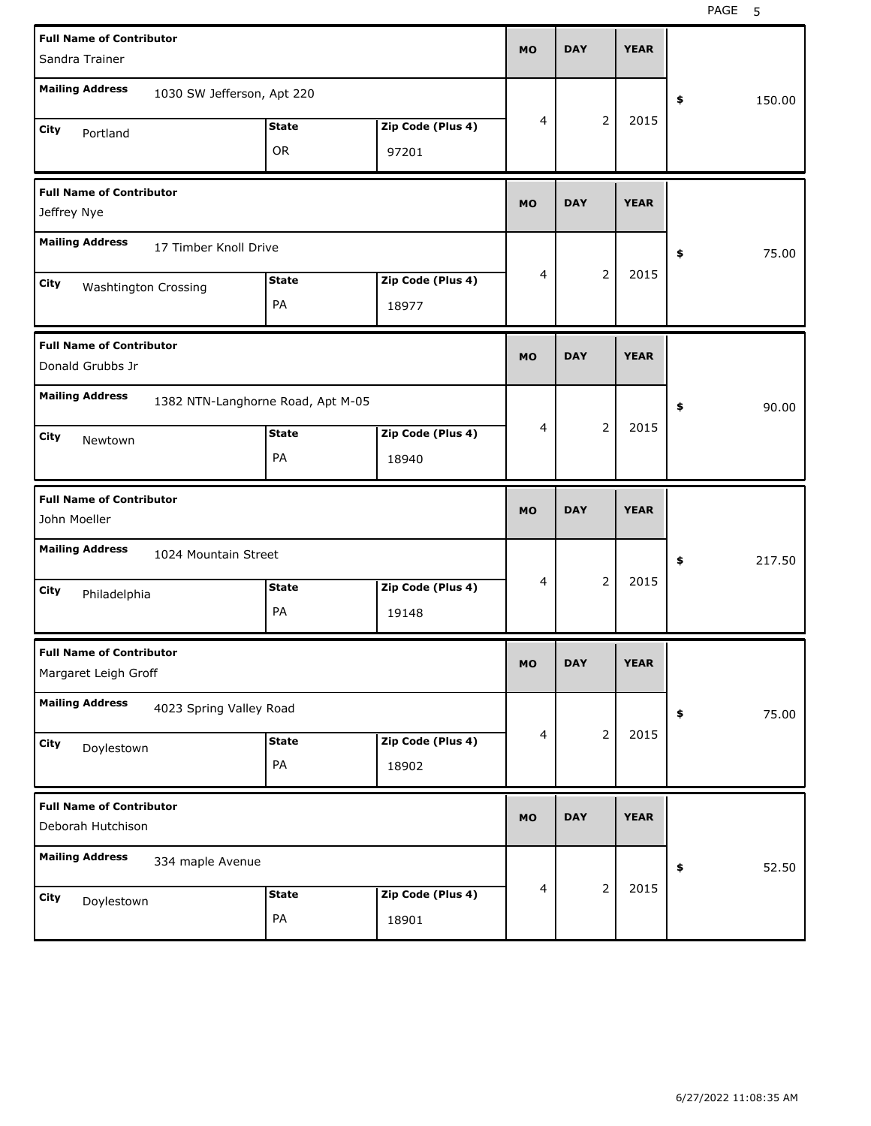| <b>Full Name of Contributor</b><br>Sandra Trainer                                | <b>MO</b>      | <b>DAY</b>     | <b>YEAR</b> |              |
|----------------------------------------------------------------------------------|----------------|----------------|-------------|--------------|
| <b>Mailing Address</b><br>1030 SW Jefferson, Apt 220                             |                |                |             | \$<br>150.00 |
| Zip Code (Plus 4)<br><b>State</b><br>City<br>Portland<br><b>OR</b><br>97201      | 4              | $\overline{2}$ | 2015        |              |
| <b>Full Name of Contributor</b><br>Jeffrey Nye                                   | <b>MO</b>      | <b>DAY</b>     | <b>YEAR</b> |              |
| <b>Mailing Address</b><br>17 Timber Knoll Drive                                  |                |                |             | 75.00<br>\$  |
| Zip Code (Plus 4)<br><b>State</b><br>City<br>Washtington Crossing<br>PA<br>18977 | $\overline{4}$ | $\overline{2}$ | 2015        |              |
| <b>Full Name of Contributor</b><br>Donald Grubbs Jr                              | <b>MO</b>      | <b>DAY</b>     | <b>YEAR</b> |              |
| <b>Mailing Address</b><br>1382 NTN-Langhorne Road, Apt M-05                      | $\overline{4}$ | $\overline{2}$ | 2015        | 90.00<br>\$  |
| Zip Code (Plus 4)<br><b>State</b><br>City<br>Newtown<br>PA<br>18940              |                |                |             |              |
|                                                                                  |                |                |             |              |
| <b>Full Name of Contributor</b><br>John Moeller                                  | <b>MO</b>      | <b>DAY</b>     | <b>YEAR</b> |              |
| <b>Mailing Address</b><br>1024 Mountain Street                                   |                |                |             | 217.50<br>\$ |
| Zip Code (Plus 4)<br><b>State</b><br>City<br>Philadelphia<br>PA<br>19148         | 4              | $\overline{2}$ | 2015        |              |
| <b>Full Name of Contributor</b><br>Margaret Leigh Groff                          | <b>MO</b>      | <b>DAY</b>     | <b>YEAR</b> |              |
| <b>Mailing Address</b><br>4023 Spring Valley Road                                |                |                |             | 75.00<br>\$  |
| Zip Code (Plus 4)<br><b>State</b><br>City<br>Doylestown<br>PA<br>18902           | $\overline{4}$ | $\overline{2}$ | 2015        |              |
| <b>Full Name of Contributor</b><br>Deborah Hutchison                             | <b>MO</b>      | <b>DAY</b>     | <b>YEAR</b> |              |
| <b>Mailing Address</b><br>334 maple Avenue                                       | $\overline{4}$ | $\overline{2}$ | 2015        | 52.50<br>\$  |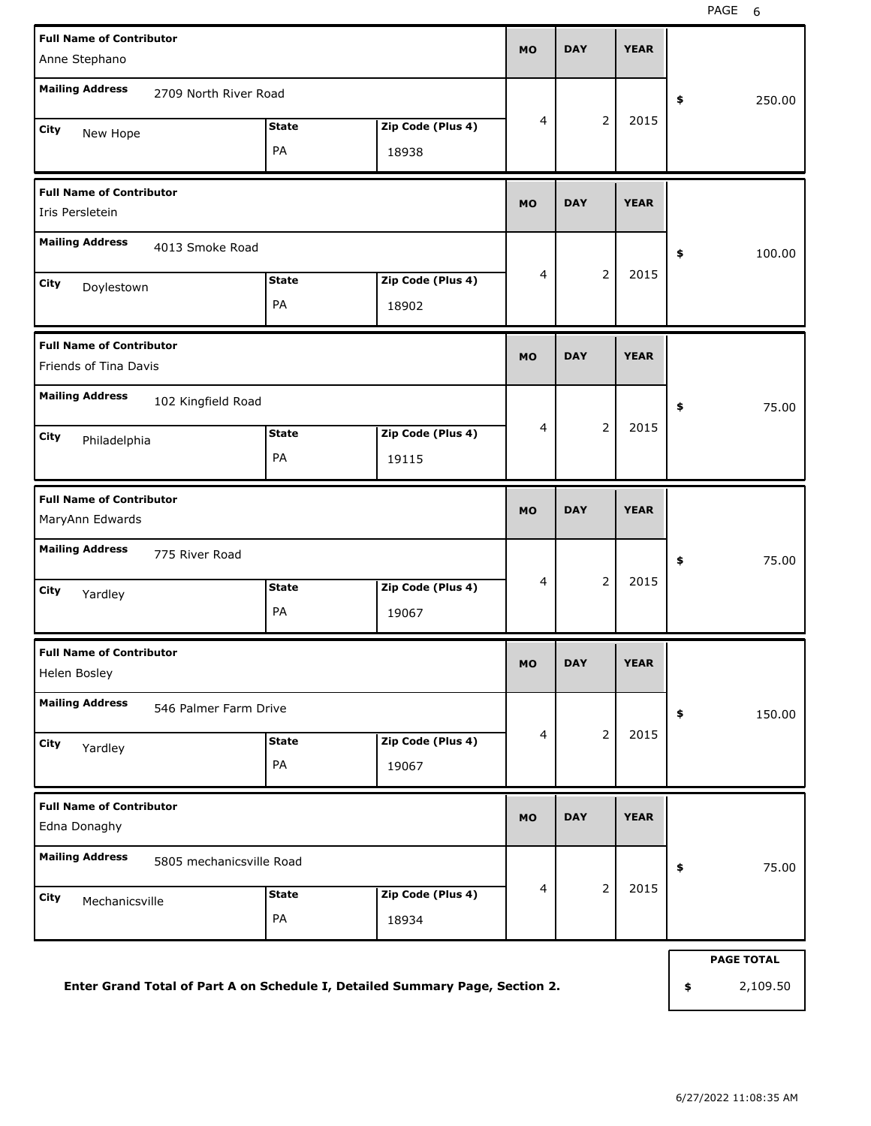| 2709 North River Road<br>250.00<br>\$<br>$\overline{2}$<br>$\overline{4}$<br>2015<br>Zip Code (Plus 4)<br><b>State</b><br>New Hope<br>PA<br>18938<br><b>DAY</b><br><b>YEAR</b><br><b>MO</b><br>4013 Smoke Road<br>\$<br>100.00<br>$\mathbf 2$<br>$\overline{4}$<br>2015<br>Zip Code (Plus 4)<br><b>State</b><br>Doylestown<br>PA<br>18902<br><b>DAY</b><br><b>YEAR</b><br><b>MO</b><br>102 Kingfield Road<br>75.00<br>\$<br>$\mathbf 2$<br>2015<br>4<br><b>State</b><br>Zip Code (Plus 4)<br>Philadelphia<br>PA<br>19115<br><b>DAY</b><br><b>YEAR</b><br><b>MO</b><br>775 River Road<br>75.00<br>\$<br>$\mathbf 2$<br>2015<br>4<br><b>State</b><br>Zip Code (Plus 4)<br>Yardley<br>PA<br>19067<br><b>MO</b><br><b>DAY</b><br><b>YEAR</b><br>546 Palmer Farm Drive<br>150.00<br>\$<br>$\overline{2}$<br>2015<br>4<br>Zip Code (Plus 4)<br><b>State</b><br>Yardley<br>PA<br>19067<br><b>DAY</b><br><b>YEAR</b><br><b>MO</b><br><b>Mailing Address</b><br>5805 mechanicsville Road<br>75.00<br>\$<br>$\overline{2}$<br>$\overline{4}$<br>2015<br>Zip Code (Plus 4)<br><b>State</b><br>Mechanicsville<br>PA<br>18934<br><b>PAGE TOTAL</b> | <b>Full Name of Contributor</b><br>Anne Stephano         |  |  |  |  |  |  |  |
|---------------------------------------------------------------------------------------------------------------------------------------------------------------------------------------------------------------------------------------------------------------------------------------------------------------------------------------------------------------------------------------------------------------------------------------------------------------------------------------------------------------------------------------------------------------------------------------------------------------------------------------------------------------------------------------------------------------------------------------------------------------------------------------------------------------------------------------------------------------------------------------------------------------------------------------------------------------------------------------------------------------------------------------------------------------------------------------------------------------------------------------|----------------------------------------------------------|--|--|--|--|--|--|--|
|                                                                                                                                                                                                                                                                                                                                                                                                                                                                                                                                                                                                                                                                                                                                                                                                                                                                                                                                                                                                                                                                                                                                       | <b>Mailing Address</b>                                   |  |  |  |  |  |  |  |
|                                                                                                                                                                                                                                                                                                                                                                                                                                                                                                                                                                                                                                                                                                                                                                                                                                                                                                                                                                                                                                                                                                                                       | City                                                     |  |  |  |  |  |  |  |
|                                                                                                                                                                                                                                                                                                                                                                                                                                                                                                                                                                                                                                                                                                                                                                                                                                                                                                                                                                                                                                                                                                                                       | <b>Full Name of Contributor</b><br>Iris Persletein       |  |  |  |  |  |  |  |
|                                                                                                                                                                                                                                                                                                                                                                                                                                                                                                                                                                                                                                                                                                                                                                                                                                                                                                                                                                                                                                                                                                                                       | <b>Mailing Address</b>                                   |  |  |  |  |  |  |  |
|                                                                                                                                                                                                                                                                                                                                                                                                                                                                                                                                                                                                                                                                                                                                                                                                                                                                                                                                                                                                                                                                                                                                       | City                                                     |  |  |  |  |  |  |  |
|                                                                                                                                                                                                                                                                                                                                                                                                                                                                                                                                                                                                                                                                                                                                                                                                                                                                                                                                                                                                                                                                                                                                       | <b>Full Name of Contributor</b><br>Friends of Tina Davis |  |  |  |  |  |  |  |
|                                                                                                                                                                                                                                                                                                                                                                                                                                                                                                                                                                                                                                                                                                                                                                                                                                                                                                                                                                                                                                                                                                                                       | <b>Mailing Address</b><br>City                           |  |  |  |  |  |  |  |
|                                                                                                                                                                                                                                                                                                                                                                                                                                                                                                                                                                                                                                                                                                                                                                                                                                                                                                                                                                                                                                                                                                                                       | <b>Full Name of Contributor</b><br>MaryAnn Edwards       |  |  |  |  |  |  |  |
|                                                                                                                                                                                                                                                                                                                                                                                                                                                                                                                                                                                                                                                                                                                                                                                                                                                                                                                                                                                                                                                                                                                                       | <b>Mailing Address</b>                                   |  |  |  |  |  |  |  |
|                                                                                                                                                                                                                                                                                                                                                                                                                                                                                                                                                                                                                                                                                                                                                                                                                                                                                                                                                                                                                                                                                                                                       | City                                                     |  |  |  |  |  |  |  |
|                                                                                                                                                                                                                                                                                                                                                                                                                                                                                                                                                                                                                                                                                                                                                                                                                                                                                                                                                                                                                                                                                                                                       | <b>Full Name of Contributor</b><br>Helen Bosley          |  |  |  |  |  |  |  |
|                                                                                                                                                                                                                                                                                                                                                                                                                                                                                                                                                                                                                                                                                                                                                                                                                                                                                                                                                                                                                                                                                                                                       | <b>Mailing Address</b>                                   |  |  |  |  |  |  |  |
|                                                                                                                                                                                                                                                                                                                                                                                                                                                                                                                                                                                                                                                                                                                                                                                                                                                                                                                                                                                                                                                                                                                                       | City                                                     |  |  |  |  |  |  |  |
|                                                                                                                                                                                                                                                                                                                                                                                                                                                                                                                                                                                                                                                                                                                                                                                                                                                                                                                                                                                                                                                                                                                                       | <b>Full Name of Contributor</b><br>Edna Donaghy          |  |  |  |  |  |  |  |
|                                                                                                                                                                                                                                                                                                                                                                                                                                                                                                                                                                                                                                                                                                                                                                                                                                                                                                                                                                                                                                                                                                                                       |                                                          |  |  |  |  |  |  |  |
|                                                                                                                                                                                                                                                                                                                                                                                                                                                                                                                                                                                                                                                                                                                                                                                                                                                                                                                                                                                                                                                                                                                                       | City                                                     |  |  |  |  |  |  |  |
| Enter Grand Total of Part A on Schedule I, Detailed Summary Page, Section 2.<br>2,109.50<br>\$                                                                                                                                                                                                                                                                                                                                                                                                                                                                                                                                                                                                                                                                                                                                                                                                                                                                                                                                                                                                                                        |                                                          |  |  |  |  |  |  |  |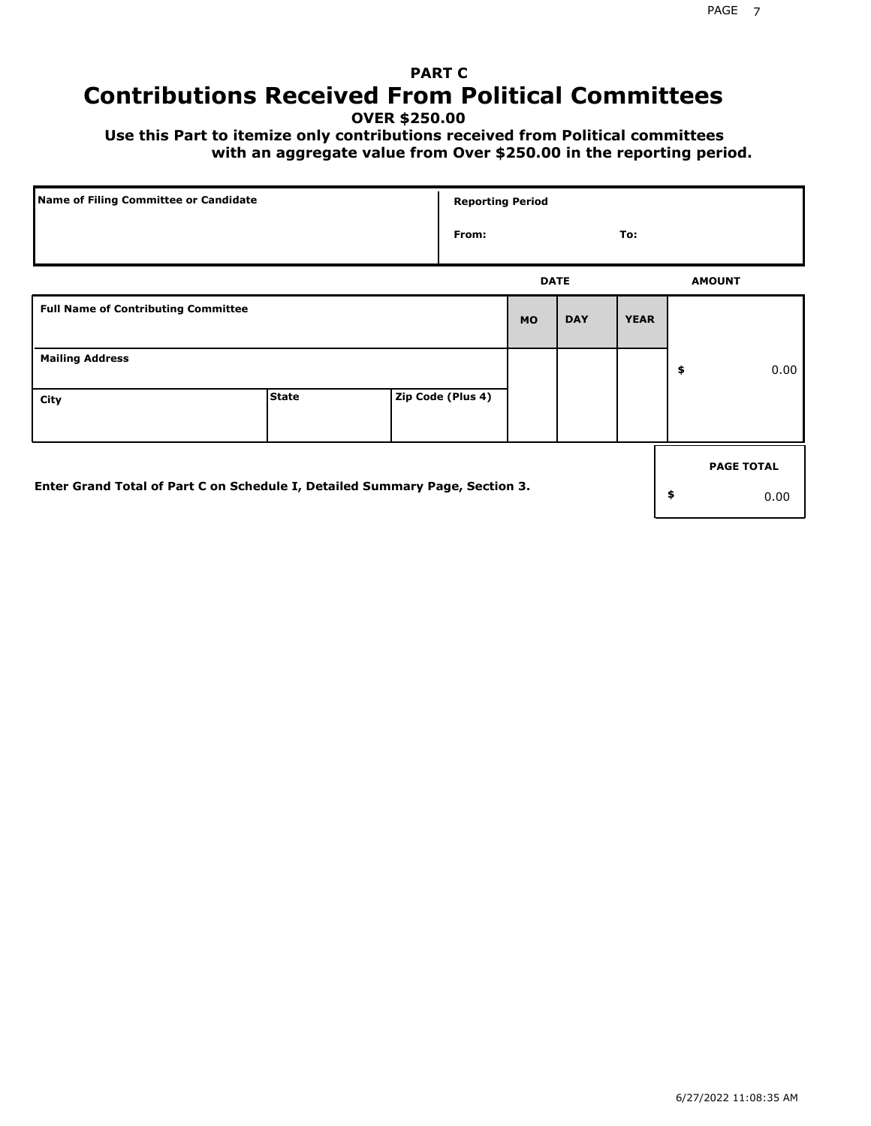# **PART C Contributions Received From Political Committees**

**OVER \$250.00**

 **Use this Part to itemize only contributions received from Political committees with an aggregate value from Over \$250.00 in the reporting period.**

| Name of Filing Committee or Candidate                                        | <b>Reporting Period</b> |  |                   |             |            |             |    |                   |
|------------------------------------------------------------------------------|-------------------------|--|-------------------|-------------|------------|-------------|----|-------------------|
|                                                                              |                         |  | From:             |             |            | To:         |    |                   |
|                                                                              |                         |  |                   | <b>DATE</b> |            |             |    | <b>AMOUNT</b>     |
| <b>Full Name of Contributing Committee</b>                                   |                         |  |                   | <b>MO</b>   | <b>DAY</b> | <b>YEAR</b> |    |                   |
| <b>Mailing Address</b>                                                       |                         |  |                   |             |            |             | \$ | 0.00              |
| City                                                                         | <b>State</b>            |  | Zip Code (Plus 4) |             |            |             |    |                   |
|                                                                              |                         |  |                   |             |            |             |    | <b>PAGE TOTAL</b> |
| Enter Grand Total of Part C on Schedule I, Detailed Summary Page, Section 3. |                         |  |                   |             |            |             | \$ | 0.00              |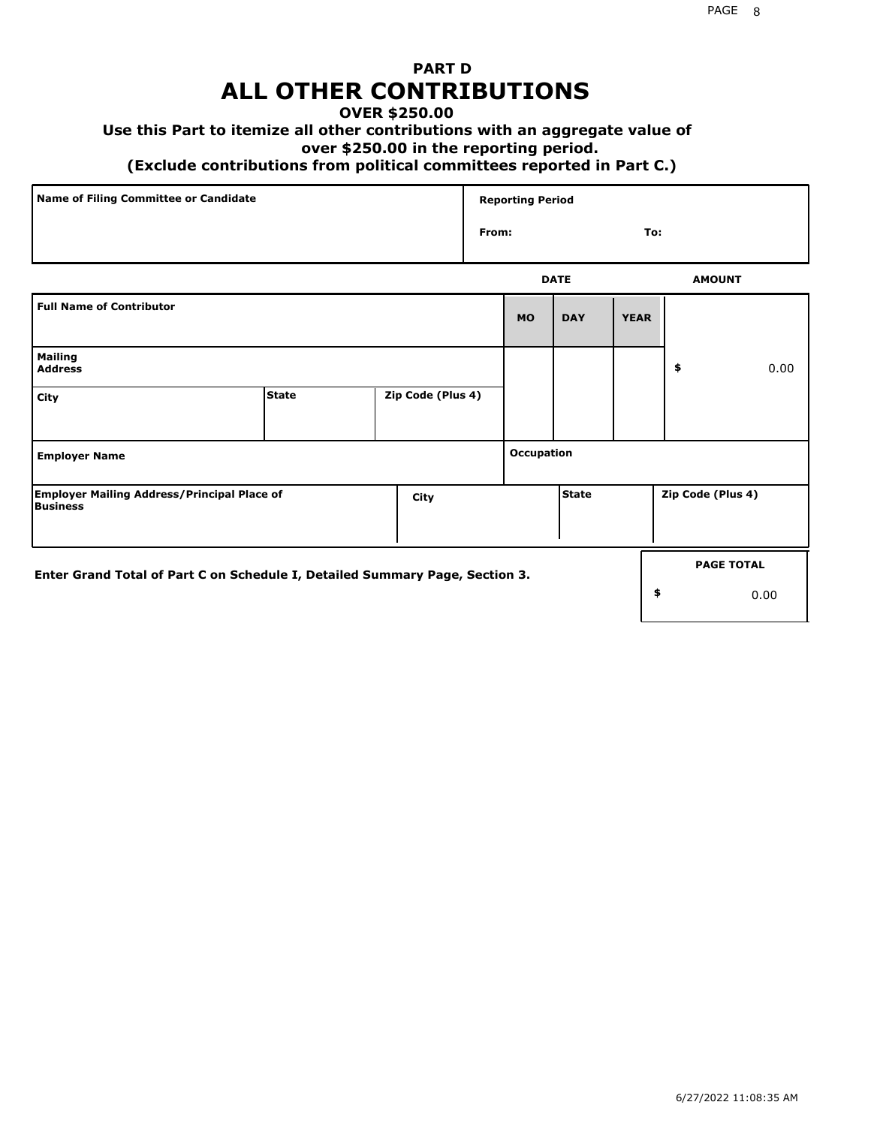## **PART D ALL OTHER CONTRIBUTIONS**

### **OVER \$250.00**

### **Use this Part to itemize all other contributions with an aggregate value of**

#### **over \$250.00 in the reporting period.**

#### **(Exclude contributions from political committees reported in Part C.)**

| Name of Filing Committee or Candidate | <b>Reporting Period</b> |               |
|---------------------------------------|-------------------------|---------------|
|                                       | From:                   | To:           |
|                                       | <b>DATE</b>             | <b>AMOUNT</b> |

|                                                                              |              |                   |            | .            |             |                   | <b>AMVONT</b>     |
|------------------------------------------------------------------------------|--------------|-------------------|------------|--------------|-------------|-------------------|-------------------|
| <b>Full Name of Contributor</b>                                              |              |                   | <b>MO</b>  | <b>DAY</b>   | <b>YEAR</b> |                   |                   |
| <b>Mailing</b><br><b>Address</b>                                             |              |                   |            |              |             | \$                | 0.00              |
| City                                                                         | <b>State</b> | Zip Code (Plus 4) |            |              |             |                   |                   |
| <b>Employer Name</b>                                                         |              |                   | Occupation |              |             |                   |                   |
| <b>Employer Mailing Address/Principal Place of</b><br>Business               |              | City              |            | <b>State</b> |             | Zip Code (Plus 4) |                   |
| Enter Grand Total of Part C on Schedule I, Detailed Summary Page, Section 3. |              |                   |            |              |             |                   | <b>PAGE TOTAL</b> |
|                                                                              |              |                   |            |              |             | \$                | 0.00              |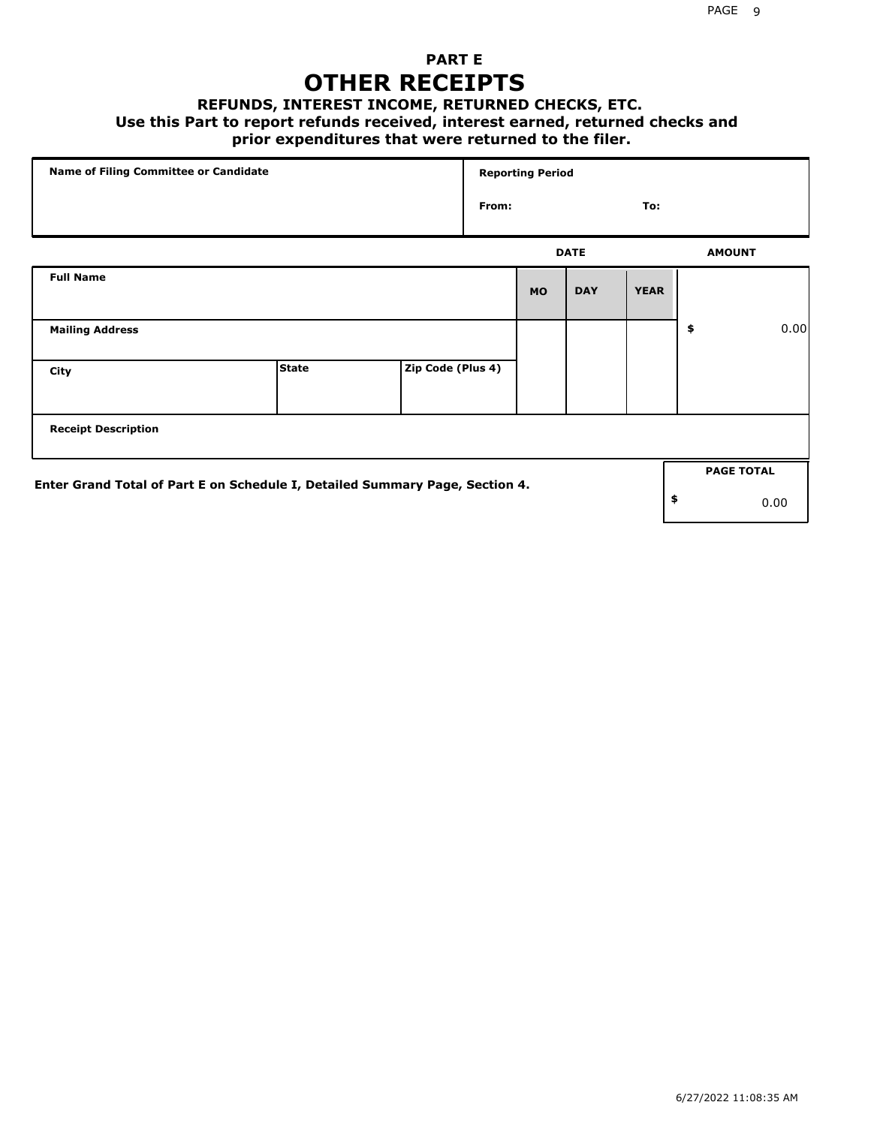## **PART E OTHER RECEIPTS**

#### **REFUNDS, INTEREST INCOME, RETURNED CHECKS, ETC.**

 **Use this Part to report refunds received, interest earned, returned checks and**

## **prior expenditures that were returned to the filer.**

| Name of Filing Committee or Candidate                                        |              |                   |       | <b>Reporting Period</b> |             |             |                   |      |
|------------------------------------------------------------------------------|--------------|-------------------|-------|-------------------------|-------------|-------------|-------------------|------|
|                                                                              |              |                   | From: |                         |             | To:         |                   |      |
|                                                                              |              |                   |       |                         | <b>DATE</b> |             | <b>AMOUNT</b>     |      |
| <b>Full Name</b>                                                             |              |                   |       | <b>MO</b>               | <b>DAY</b>  | <b>YEAR</b> |                   |      |
| <b>Mailing Address</b>                                                       |              |                   |       |                         |             |             | \$                | 0.00 |
| City                                                                         | <b>State</b> | Zip Code (Plus 4) |       |                         |             |             |                   |      |
| <b>Receipt Description</b>                                                   |              |                   |       |                         |             |             |                   |      |
|                                                                              |              |                   |       |                         |             |             | <b>PAGE TOTAL</b> |      |
| Enter Grand Total of Part E on Schedule I, Detailed Summary Page, Section 4. |              |                   |       |                         |             |             | \$                | 0.00 |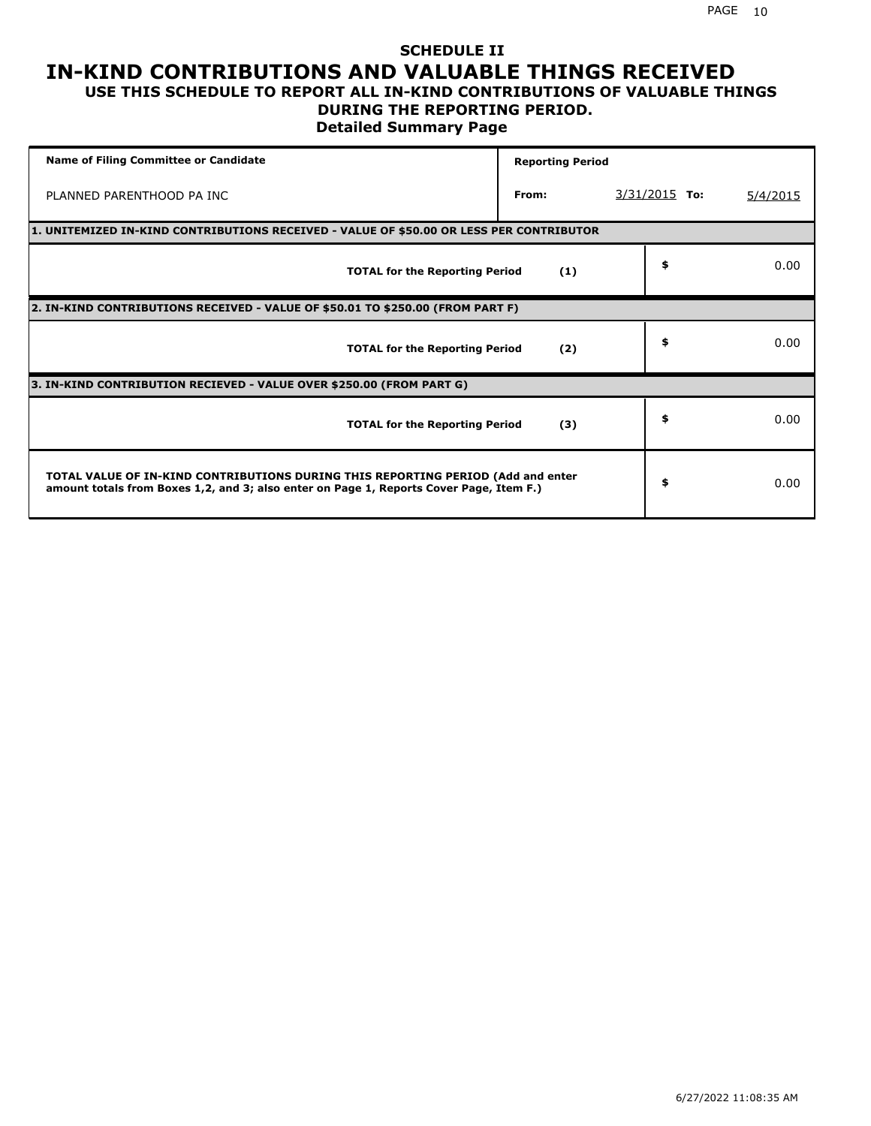### **SCHEDULE II IN-KIND CONTRIBUTIONS AND VALUABLE THINGS RECEIVED USE THIS SCHEDULE TO REPORT ALL IN-KIND CONTRIBUTIONS OF VALUABLE THINGS**

### **DURING THE REPORTING PERIOD.**

**Detailed Summary Page**

| <b>Name of Filing Committee or Candidate</b>                                                                                                                                | <b>Reporting Period</b> |                 |          |
|-----------------------------------------------------------------------------------------------------------------------------------------------------------------------------|-------------------------|-----------------|----------|
| PLANNED PARENTHOOD PA INC                                                                                                                                                   | From:                   | $3/31/2015$ To: | 5/4/2015 |
| 1. UNITEMIZED IN-KIND CONTRIBUTIONS RECEIVED - VALUE OF \$50.00 OR LESS PER CONTRIBUTOR                                                                                     |                         |                 |          |
| <b>TOTAL for the Reporting Period</b>                                                                                                                                       | (1)                     | \$              | 0.00     |
| 2. IN-KIND CONTRIBUTIONS RECEIVED - VALUE OF \$50.01 TO \$250.00 (FROM PART F)                                                                                              |                         |                 |          |
| <b>TOTAL for the Reporting Period</b>                                                                                                                                       | (2)                     | \$              | 0.00     |
| 3. IN-KIND CONTRIBUTION RECIEVED - VALUE OVER \$250.00 (FROM PART G)                                                                                                        |                         |                 |          |
| <b>TOTAL for the Reporting Period</b>                                                                                                                                       | (3)                     | \$              | 0.00     |
| TOTAL VALUE OF IN-KIND CONTRIBUTIONS DURING THIS REPORTING PERIOD (Add and enter<br>amount totals from Boxes 1,2, and 3; also enter on Page 1, Reports Cover Page, Item F.) |                         | \$              | 0.00     |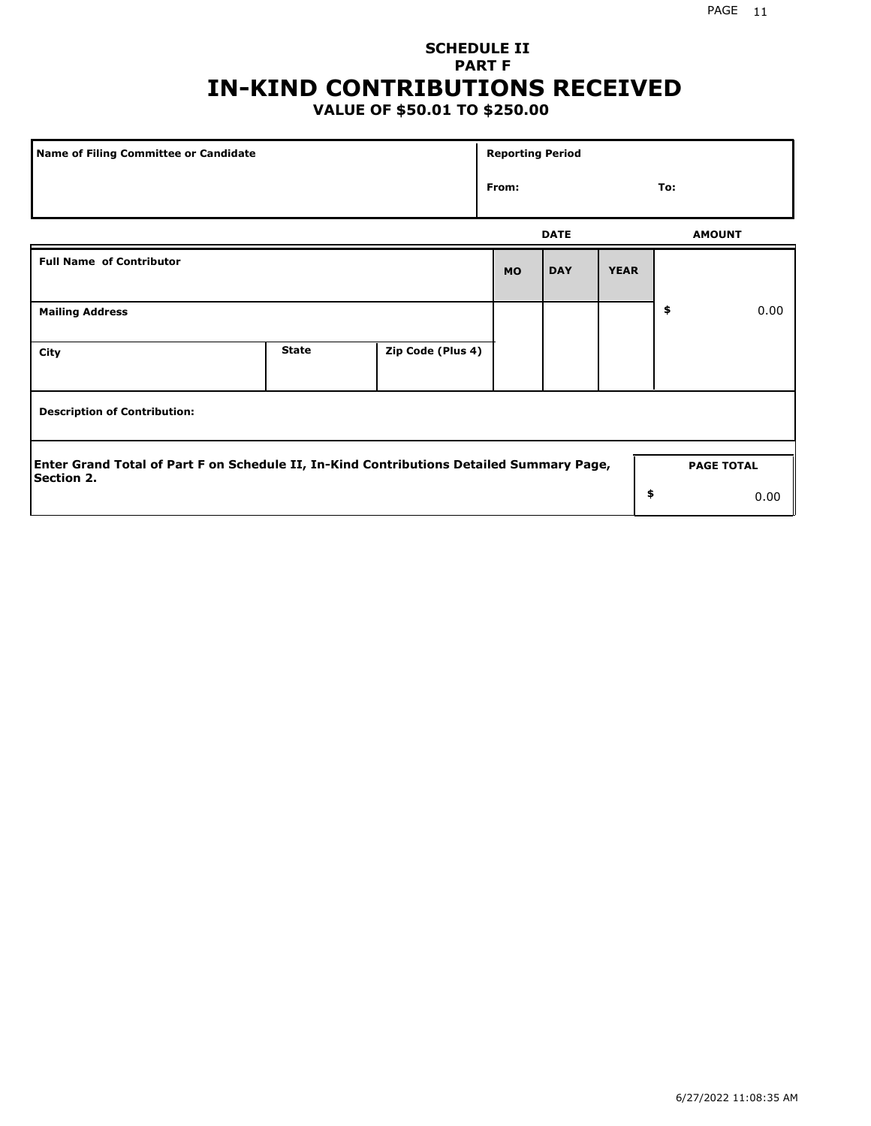## **SCHEDULE II PART F IN-KIND CONTRIBUTIONS RECEIVED**

## **VALUE OF \$50.01 TO \$250.00**

| Name of Filing Committee or Candidate                                                                         |              |                   | <b>Reporting Period</b> |             |             |    |                   |
|---------------------------------------------------------------------------------------------------------------|--------------|-------------------|-------------------------|-------------|-------------|----|-------------------|
|                                                                                                               | From:        |                   |                         |             |             |    |                   |
|                                                                                                               |              |                   |                         | <b>DATE</b> |             |    | <b>AMOUNT</b>     |
| <b>Full Name of Contributor</b>                                                                               |              |                   | <b>MO</b>               | <b>DAY</b>  | <b>YEAR</b> |    |                   |
| <b>Mailing Address</b>                                                                                        |              |                   |                         |             |             | \$ | 0.00              |
| City                                                                                                          | <b>State</b> | Zip Code (Plus 4) |                         |             |             |    |                   |
| <b>Description of Contribution:</b>                                                                           |              |                   |                         |             |             |    |                   |
| Enter Grand Total of Part F on Schedule II, In-Kind Contributions Detailed Summary Page,<br><b>Section 2.</b> |              |                   |                         |             |             |    | <b>PAGE TOTAL</b> |
|                                                                                                               |              |                   |                         |             | \$          |    | 0.00              |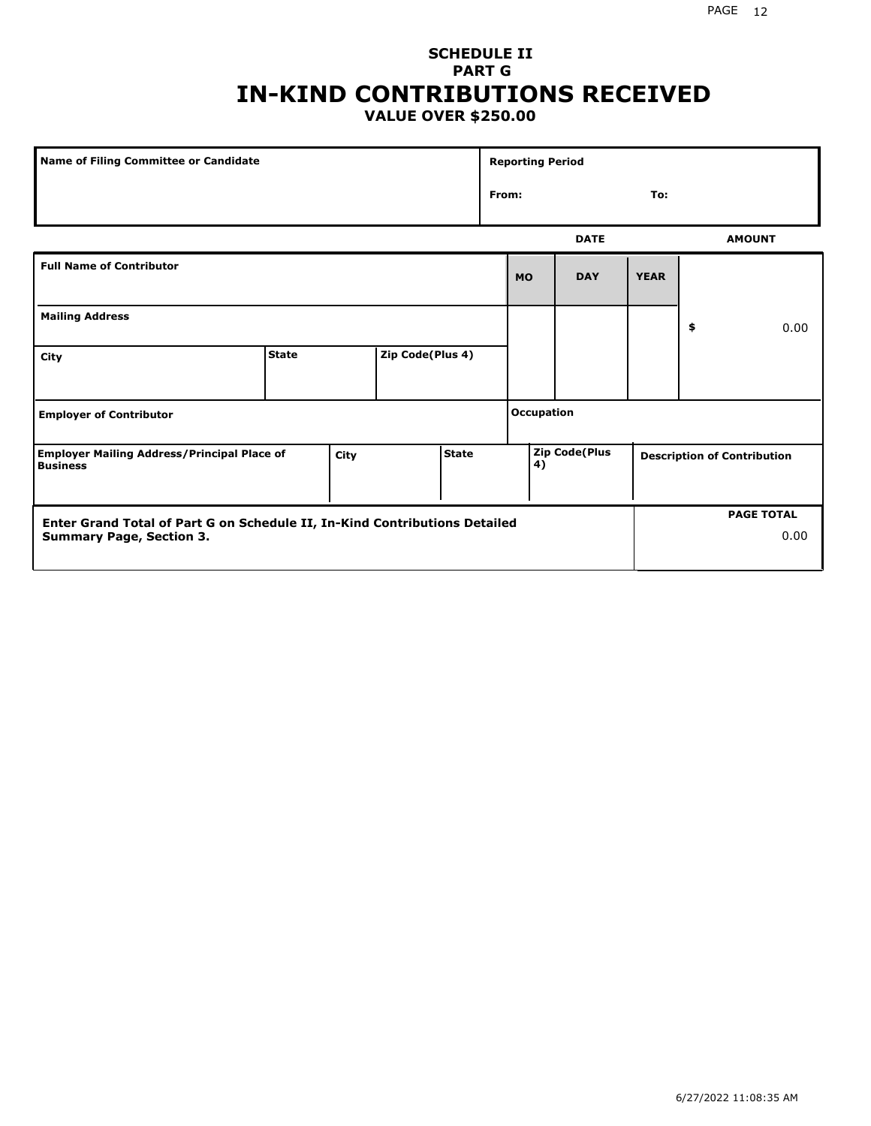### PAGE 12

## **SCHEDULE II PART G IN-KIND CONTRIBUTIONS RECEIVED VALUE OVER \$250.00**

| Name of Filing Committee or Candidate                                 |              |      |                  |              | <b>Reporting Period</b> |                      |             |    |                                    |
|-----------------------------------------------------------------------|--------------|------|------------------|--------------|-------------------------|----------------------|-------------|----|------------------------------------|
|                                                                       |              |      |                  |              | To:<br>From:            |                      |             |    |                                    |
|                                                                       |              |      |                  |              |                         | <b>DATE</b>          |             |    | <b>AMOUNT</b>                      |
| <b>Full Name of Contributor</b>                                       |              |      |                  |              | <b>MO</b>               | <b>DAY</b>           | <b>YEAR</b> |    |                                    |
| <b>Mailing Address</b>                                                |              |      |                  |              |                         |                      |             | \$ | 0.00                               |
| City                                                                  | <b>State</b> |      | Zip Code(Plus 4) |              |                         |                      |             |    |                                    |
| <b>Employer of Contributor</b>                                        |              |      |                  |              | <b>Occupation</b>       |                      |             |    |                                    |
| <b>Employer Mailing Address/Principal Place of</b><br><b>Business</b> |              | City |                  | <b>State</b> | 4)                      | <b>Zip Code(Plus</b> |             |    | <b>Description of Contribution</b> |

| <b>Enter Grand Total of Part G on Schedule II, In-Kind Contributions Detailed</b> | <b>PAGE TOTAL</b> |
|-----------------------------------------------------------------------------------|-------------------|
| <b>Summary Page, Section 3.</b>                                                   | 0.00              |
|                                                                                   |                   |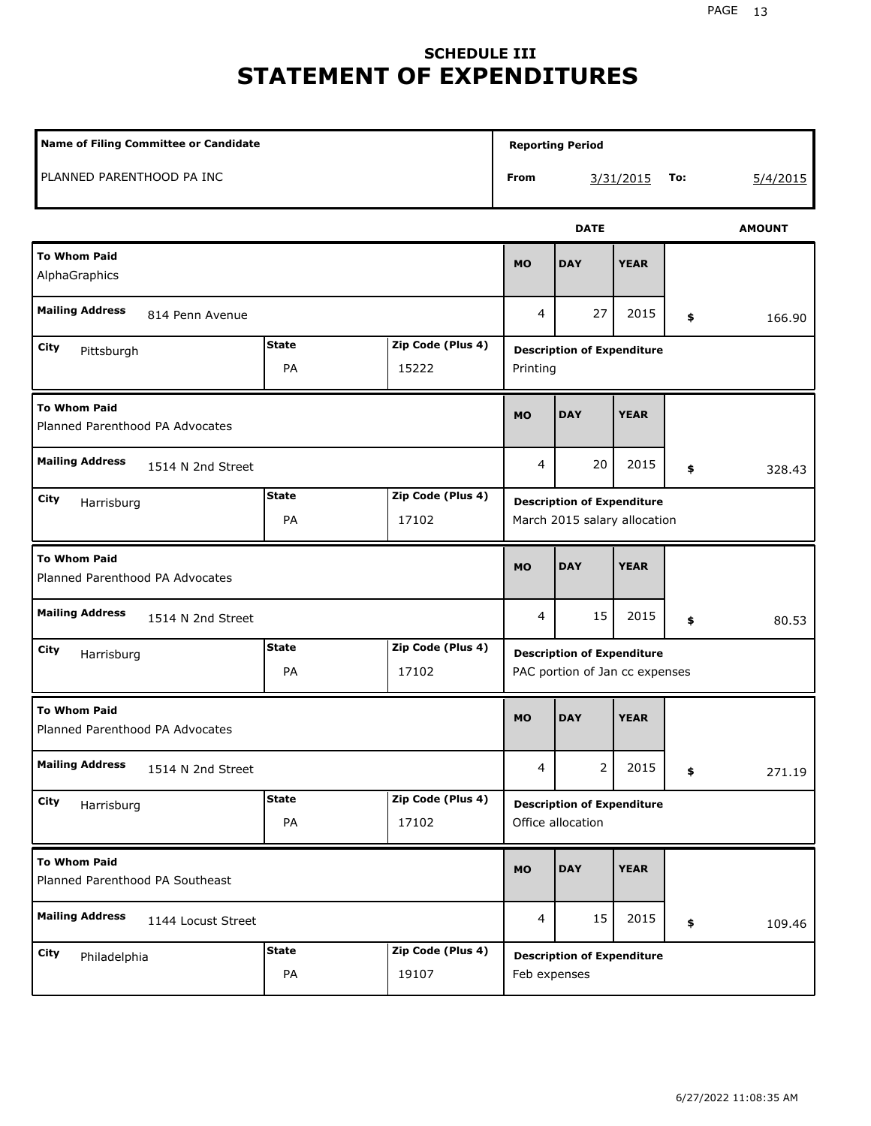# **SCHEDULE III STATEMENT OF EXPENDITURES**

| Name of Filing Committee or Candidate                  |                    | <b>Reporting Period</b>    |                                                                     |                                                   |             |        |               |
|--------------------------------------------------------|--------------------|----------------------------|---------------------------------------------------------------------|---------------------------------------------------|-------------|--------|---------------|
| PLANNED PARENTHOOD PA INC                              |                    |                            | From                                                                |                                                   | 3/31/2015   | To:    | 5/4/2015      |
|                                                        |                    |                            |                                                                     | <b>DATE</b>                                       |             |        | <b>AMOUNT</b> |
| <b>To Whom Paid</b><br>AlphaGraphics                   |                    |                            | <b>MO</b>                                                           | <b>DAY</b>                                        | <b>YEAR</b> |        |               |
| <b>Mailing Address</b><br>814 Penn Avenue              |                    | 4                          | 27                                                                  | 2015                                              | \$          | 166.90 |               |
| City<br>Pittsburgh                                     | <b>State</b><br>PA | Zip Code (Plus 4)<br>15222 | <b>Description of Expenditure</b><br>Printing                       |                                                   |             |        |               |
| <b>To Whom Paid</b><br>Planned Parenthood PA Advocates |                    |                            | <b>MO</b>                                                           | <b>DAY</b>                                        | <b>YEAR</b> |        |               |
| <b>Mailing Address</b><br>1514 N 2nd Street            |                    |                            | 4                                                                   | 20                                                | 2015        | \$     | 328.43        |
| City<br>Harrisburg                                     | <b>State</b><br>PA | Zip Code (Plus 4)<br>17102 | <b>Description of Expenditure</b><br>March 2015 salary allocation   |                                                   |             |        |               |
| <b>To Whom Paid</b><br>Planned Parenthood PA Advocates |                    |                            | <b>MO</b>                                                           | <b>DAY</b>                                        | <b>YEAR</b> |        |               |
| <b>Mailing Address</b><br>1514 N 2nd Street            |                    |                            | 4                                                                   | 15                                                | 2015        | \$     | 80.53         |
| City<br>Harrisburg                                     | <b>State</b><br>PA | Zip Code (Plus 4)<br>17102 | <b>Description of Expenditure</b><br>PAC portion of Jan cc expenses |                                                   |             |        |               |
| <b>To Whom Paid</b><br>Planned Parenthood PA Advocates |                    |                            | <b>MO</b>                                                           | <b>DAY</b>                                        | <b>YEAR</b> |        |               |
| <b>Mailing Address</b><br>1514 N 2nd Street            |                    |                            | $\overline{4}$                                                      | 2                                                 | 2015        | \$     | 271.19        |
| City<br>Harrisburg                                     | <b>State</b><br>PA | Zip Code (Plus 4)<br>17102 | <b>Description of Expenditure</b><br>Office allocation              |                                                   |             |        |               |
| <b>To Whom Paid</b><br>Planned Parenthood PA Southeast |                    |                            | <b>MO</b>                                                           | <b>DAY</b>                                        | <b>YEAR</b> |        |               |
| <b>Mailing Address</b><br>1144 Locust Street           |                    | $\overline{4}$             | 15                                                                  | 2015                                              | \$          | 109.46 |               |
| City<br>Philadelphia                                   | <b>State</b><br>PA | Zip Code (Plus 4)<br>19107 |                                                                     | <b>Description of Expenditure</b><br>Feb expenses |             |        |               |